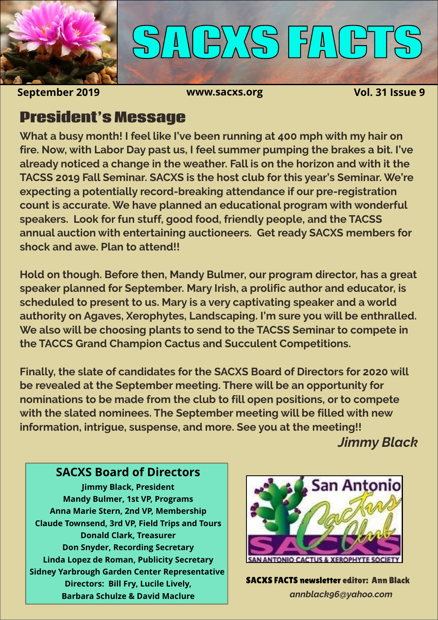

# **SACXS FACTS**

**September 2019 www.sacxs.org Vol. 31 Issue 9**

#### **President's Message**

**What a busy month! I feel like I've been running at 400 mph with my hair on fire. Now, with Labor Day past us, I feel summer pumping the brakes a bit. I've already noticed a change in the weather. Fall is on the horizon and with it the TACSS 2019 Fall Seminar. SACXS is the host club for this year's Seminar. We're expecting a potentially record-breaking attendance if our pre-registration count is accurate. We have planned an educational program with wonderful speakers. Look for fun stuff, good food, friendly people, and the TACSS annual auction with entertaining auctioneers. Get ready SACXS members for shock and awe. Plan to attend!!**

**Hold on though. Before then, Mandy Bulmer, our program director, has a great speaker planned for September. Mary Irish, a prolific author and educator, is scheduled to present to us. Mary is a very captivating speaker and a world authority on Agaves, Xerophytes, Landscaping. I'm sure you will be enthralled. We also will be choosing plants to send to the TACSS Seminar to compete in the TACCS Grand Champion Cactus and Succulent Competitions.**

**Finally, the slate of candidates for the SACXS Board of Directors for 2020 will be revealed at the September meeting. There will be an opportunity for nominations to be made from the club to fill open positions, or to compete with the slated nominees. The September meeting will be filled with new information, intrigue, suspense, and more. See you at the meeting!!**

*Jimmy Black*

#### **SACXS Board of Directors**

**Jimmy Black, President Mandy Bulmer, 1st VP, Programs Anna Marie Stern, 2nd VP, Membership Claude Townsend, 3rd VP, Field Trips and Tours Donald Clark, Treasurer Don Snyder, Recording Secretary Linda Lopez de Roman, Publicity Secretary Sidney Yarbrough Garden Center Representative Directors: Bill Fry, Lucile Lively, Barbara Schulze & David Maclure**



SACXS FACTS newsletter editor: Ann Black *annblack96@yahoo.com*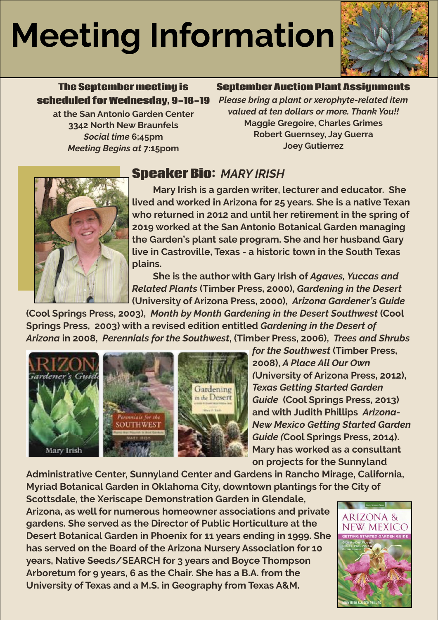## **Meeting Information**



#### **The September meeting is scheduled for Wednesday, 9-18-19**

**at the San Antonio Garden Center 3342 North New Braunfels** *Social time* **6;45pm** *Meeting Begins at* **7:15pom**

#### **September Auction Plant Assignments**

*Please bring a plant or xerophyte-related item valued at ten dollars or more. Thank You!!* **Maggie Gregoire, Charles Grimes Robert Guernsey, Jay Guerra Joey Gutierrez**



#### **Speaker Bio:** *MARY IRISH*

**Mary Irish is a garden writer, lecturer and educator. She lived and worked in Arizona for 25 years. She is a native Texan who returned in 2012 and until her retirement in the spring of 2019 worked at the San Antonio Botanical Garden managing the Garden's plant sale program. She and her husband Gary live in Castroville, Texas - a historic town in the South Texas plains.** 

**She is the author with Gary Irish of** *Agaves, Yuccas and Related Plants* **(Timber Press, 2000),** *Gardening in the Desert* **(University of Arizona Press, 2000),** *Arizona Gardener's Guide*

**(Cool Springs Press, 2003),** *Month by Month Gardening in the Desert Southwest* **(Cool Springs Press, 2003) with a revised edition entitled** *Gardening in the Desert of Arizona* **in 2008,** *Perennials for the Southwest***, (Timber Press, 2006),** *Trees and Shrubs* 



*for the Southwest* **(Timber Press, 2008),** *A Place All Our Own (***University of Arizona Press, 2012),**  *Texas Getting Started Garden Guide*  **(Cool Springs Press, 2013)**  and with Judith Phillips Arizona-*New Mexico Getting Started Garden Guide (***Cool Springs Press, 2014). Mary has worked as a consultant on projects for the Sunnyland** 

**Administrative Center, Sunnyland Center and Gardens in Rancho Mirage, California, Myriad Botanical Garden in Oklahoma City, downtown plantings for the City of** 

**Scottsdale, the Xeriscape Demonstration Garden in Glendale, Arizona, as well for numerous homeowner associations and private gardens. She served as the Director of Public Horticulture at the Desert Botanical Garden in Phoenix for 11 years ending in 1999. She has served on the Board of the Arizona Nursery Association for 10 years, Native Seeds/SEARCH for 3 years and Boyce Thompson Arboretum for 9 years, 6 as the Chair. She has a B.A. from the University of Texas and a M.S. in Geography from Texas A&M.**

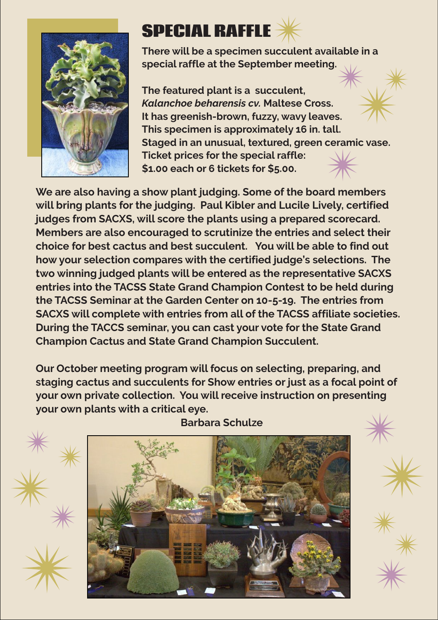

### **SPECIAL RAFFLE**

**There will be a specimen succulent available in a special raffle at the September meeting.** 

**The featured plant is a succulent,**  *Kalanchoe beharensis cv.* **Maltese Cross. It has greenish-brown, fuzzy, wavy leaves. This specimen is approximately 16 in. tall. Staged in an unusual, textured, green ceramic vase. Ticket prices for the special raffle: \$1.00 each or 6 tickets for \$5.00.** 

**We are also having a show plant judging. Some of the board members will bring plants for the judging. Paul Kibler and Lucile Lively, certified judges from SACXS, will score the plants using a prepared scorecard. Members are also encouraged to scrutinize the entries and select their choice for best cactus and best succulent. You will be able to find out how your selection compares with the certified judge's selections. The two winning judged plants will be entered as the representative SACXS entries into the TACSS State Grand Champion Contest to be held during the TACSS Seminar at the Garden Center on 10-5-19. The entries from SACXS will complete with entries from all of the TACSS affiliate societies. During the TACCS seminar, you can cast your vote for the State Grand Champion Cactus and State Grand Champion Succulent.**

**Our October meeting program will focus on selecting, preparing, and staging cactus and succulents for Show entries or just as a focal point of your own private collection. You will receive instruction on presenting your own plants with a critical eye.** 



**Barbara Schulze**